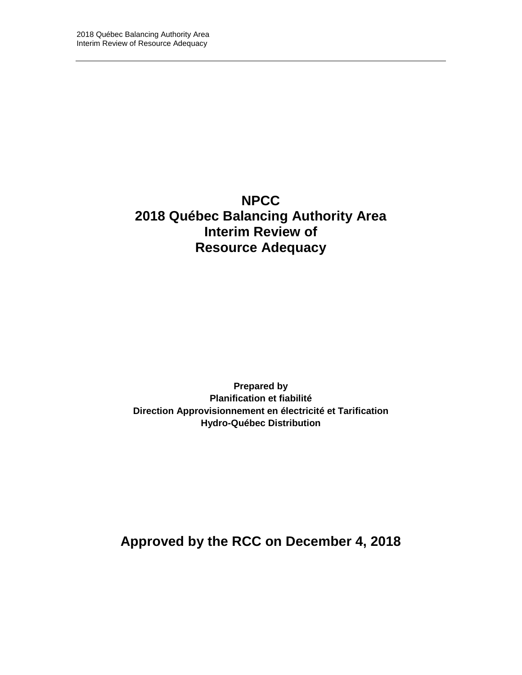# **NPCC 2018 Québec Balancing Authority Area Interim Review of Resource Adequacy**

**Prepared by Planification et fiabilité Direction Approvisionnement en électricité et Tarification Hydro-Québec Distribution** 

**Approved by the RCC on December 4, 2018**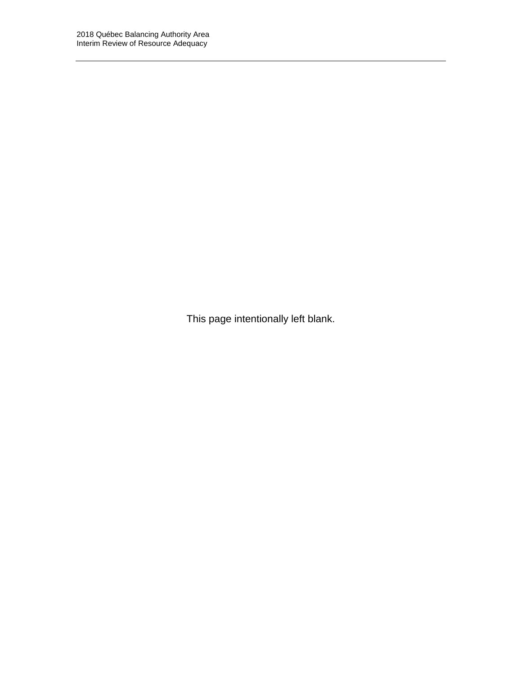This page intentionally left blank.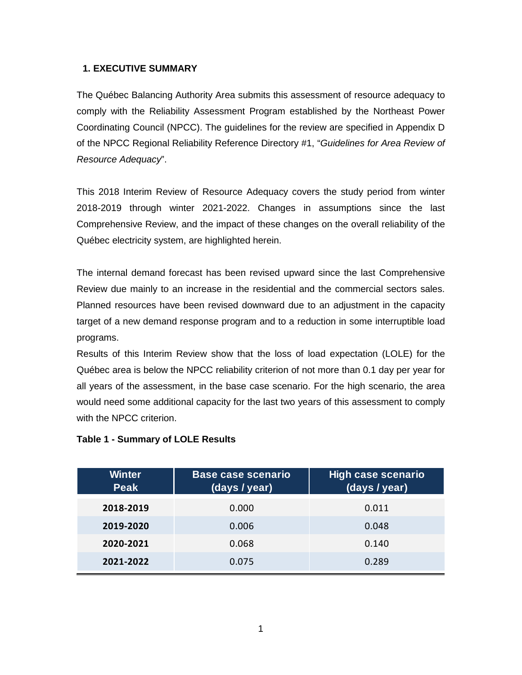## **1. EXECUTIVE SUMMARY**

The Québec Balancing Authority Area submits this assessment of resource adequacy to comply with the Reliability Assessment Program established by the Northeast Power Coordinating Council (NPCC). The guidelines for the review are specified in Appendix D of the NPCC Regional Reliability Reference Directory #1, "Guidelines for Area Review of Resource Adequacy".

This 2018 Interim Review of Resource Adequacy covers the study period from winter 2018-2019 through winter 2021-2022. Changes in assumptions since the last Comprehensive Review, and the impact of these changes on the overall reliability of the Québec electricity system, are highlighted herein.

The internal demand forecast has been revised upward since the last Comprehensive Review due mainly to an increase in the residential and the commercial sectors sales. Planned resources have been revised downward due to an adjustment in the capacity target of a new demand response program and to a reduction in some interruptible load programs.

Results of this Interim Review show that the loss of load expectation (LOLE) for the Québec area is below the NPCC reliability criterion of not more than 0.1 day per year for all years of the assessment, in the base case scenario. For the high scenario, the area would need some additional capacity for the last two years of this assessment to comply with the NPCC criterion.

| <b>Winter</b><br><b>Peak</b> | <b>Base case scenario</b><br>(days / year) | <b>High case scenario</b><br>(days / year) |
|------------------------------|--------------------------------------------|--------------------------------------------|
| 2018-2019                    | 0.000                                      | 0.011                                      |
| 2019-2020                    | 0.006                                      | 0.048                                      |
| 2020-2021                    | 0.068                                      | 0.140                                      |
| 2021-2022                    | 0.075                                      | 0.289                                      |

## **Table 1 - Summary of LOLE Results**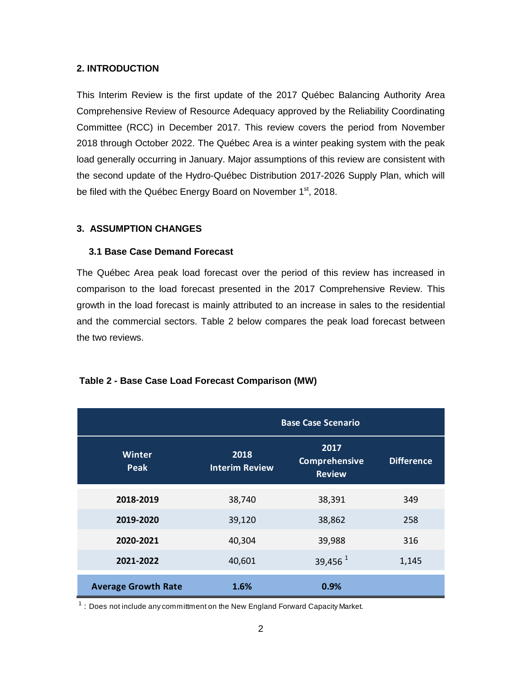#### **2. INTRODUCTION**

This Interim Review is the first update of the 2017 Québec Balancing Authority Area Comprehensive Review of Resource Adequacy approved by the Reliability Coordinating Committee (RCC) in December 2017. This review covers the period from November 2018 through October 2022. The Québec Area is a winter peaking system with the peak load generally occurring in January. Major assumptions of this review are consistent with the second update of the Hydro-Québec Distribution 2017-2026 Supply Plan, which will be filed with the Québec Energy Board on November 1<sup>st</sup>, 2018.

#### **3. ASSUMPTION CHANGES**

#### **3.1 Base Case Demand Forecast**

The Québec Area peak load forecast over the period of this review has increased in comparison to the load forecast presented in the 2017 Comprehensive Review. This growth in the load forecast is mainly attributed to an increase in sales to the residential and the commercial sectors. Table 2 below compares the peak load forecast between the two reviews.

|                            | <b>Base Case Scenario</b>     |                                        |                   |  |
|----------------------------|-------------------------------|----------------------------------------|-------------------|--|
| Winter<br>Peak             | 2018<br><b>Interim Review</b> | 2017<br>Comprehensive<br><b>Review</b> | <b>Difference</b> |  |
| 2018-2019                  | 38,740                        | 38,391                                 | 349               |  |
| 2019-2020                  | 39,120                        | 38,862                                 | 258               |  |
| 2020-2021                  | 40,304                        | 39,988                                 | 316               |  |
| 2021-2022                  | 40,601                        | 39,456 $1$                             | 1,145             |  |
| <b>Average Growth Rate</b> | 1.6%                          | 0.9%                                   |                   |  |

## **Table 2 - Base Case Load Forecast Comparison (MW)**

 $1$  : Does not include any committment on the New England Forward Capacity Market.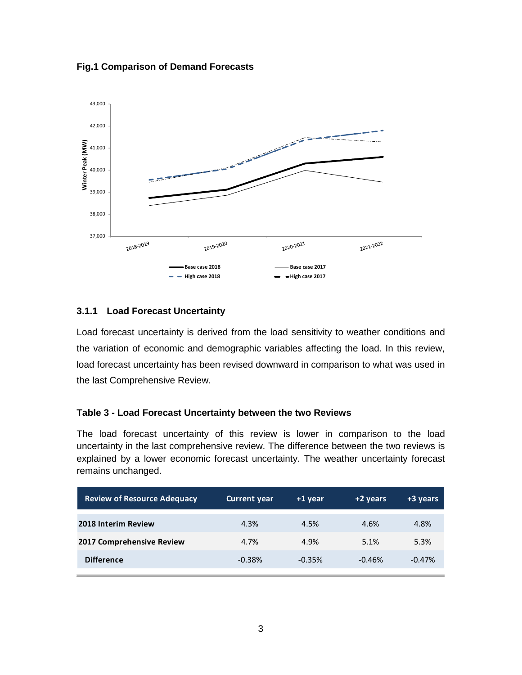**Fig.1 Comparison of Demand Forecasts** 



# **3.1.1 Load Forecast Uncertainty**

Load forecast uncertainty is derived from the load sensitivity to weather conditions and the variation of economic and demographic variables affecting the load. In this review, load forecast uncertainty has been revised downward in comparison to what was used in the last Comprehensive Review.

# **Table 3 - Load Forecast Uncertainty between the two Reviews**

The load forecast uncertainty of this review is lower in comparison to the load uncertainty in the last comprehensive review. The difference between the two reviews is explained by a lower economic forecast uncertainty. The weather uncertainty forecast remains unchanged.

| <b>Review of Resource Adequacy</b> | <b>Current year</b> | $+1$ year | +2 years | +3 years |
|------------------------------------|---------------------|-----------|----------|----------|
| 2018 Interim Review                | 4.3%                | 4.5%      | 4.6%     | 4.8%     |
| 2017 Comprehensive Review          | 4.7%                | 4.9%      | 5.1%     | 5.3%     |
| <b>Difference</b>                  | $-0.38%$            | $-0.35%$  | $-0.46%$ | $-0.47%$ |
|                                    |                     |           |          |          |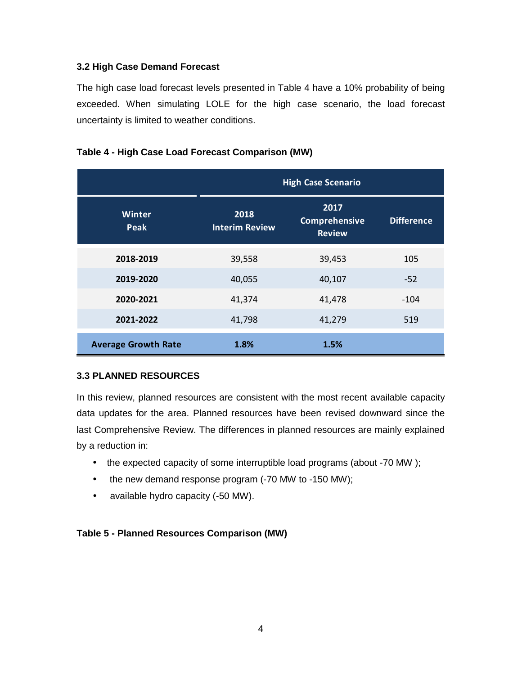# **3.2 High Case Demand Forecast**

The high case load forecast levels presented in Table 4 have a 10% probability of being exceeded. When simulating LOLE for the high case scenario, the load forecast uncertainty is limited to weather conditions.

|                            | <b>High Case Scenario</b>     |                                        |                   |  |
|----------------------------|-------------------------------|----------------------------------------|-------------------|--|
| <b>Winter</b><br>Peak      | 2018<br><b>Interim Review</b> | 2017<br>Comprehensive<br><b>Review</b> | <b>Difference</b> |  |
| 2018-2019                  | 39,558                        | 39,453                                 | 105               |  |
| 2019-2020                  | 40,055                        | 40,107                                 | $-52$             |  |
| 2020-2021                  | 41,374                        | 41,478                                 | $-104$            |  |
| 2021-2022                  | 41,798                        | 41,279                                 | 519               |  |
| <b>Average Growth Rate</b> | 1.8%                          | 1.5%                                   |                   |  |

# **Table 4 - High Case Load Forecast Comparison (MW)**

## **3.3 PLANNED RESOURCES**

In this review, planned resources are consistent with the most recent available capacity data updates for the area. Planned resources have been revised downward since the last Comprehensive Review. The differences in planned resources are mainly explained by a reduction in:

- the expected capacity of some interruptible load programs (about -70 MW );
- the new demand response program (-70 MW to -150 MW);
- available hydro capacity (-50 MW).

**Table 5 - Planned Resources Comparison (MW)**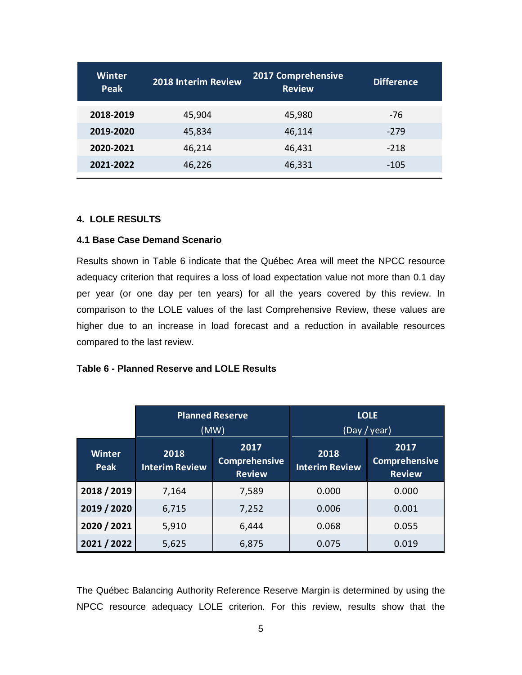| <b>Winter</b><br>Peak | 2018 Interim Review | 2017 Comprehensive<br><b>Review</b> | <b>Difference</b> |
|-----------------------|---------------------|-------------------------------------|-------------------|
| 2018-2019             | 45,904              | 45,980                              | -76               |
| 2019-2020             | 45,834              | 46,114                              | $-279$            |
| 2020-2021             | 46,214              | 46,431                              | $-218$            |
| 2021-2022             | 46,226              | 46,331                              | -105              |

#### **4. LOLE RESULTS**

#### **4.1 Base Case Demand Scenario**

Results shown in Table 6 indicate that the Québec Area will meet the NPCC resource adequacy criterion that requires a loss of load expectation value not more than 0.1 day per year (or one day per ten years) for all the years covered by this review. In comparison to the LOLE values of the last Comprehensive Review, these values are higher due to an increase in load forecast and a reduction in available resources compared to the last review.

## **Table 6 - Planned Reserve and LOLE Results**

|                              | <b>Planned Reserve</b><br>(MW)                                          |       | <b>LOLE</b><br>(Day / year)   |                                        |
|------------------------------|-------------------------------------------------------------------------|-------|-------------------------------|----------------------------------------|
| <b>Winter</b><br><b>Peak</b> | 2017<br>2018<br>Comprehensive<br><b>Interim Review</b><br><b>Review</b> |       | 2018<br><b>Interim Review</b> | 2017<br>Comprehensive<br><b>Review</b> |
| 2018 / 2019                  | 7,164                                                                   | 7,589 | 0.000                         | 0.000                                  |
| 2019 / 2020                  | 6,715                                                                   | 7,252 | 0.006                         | 0.001                                  |
| 2020 / 2021                  | 5,910                                                                   | 6,444 | 0.068                         | 0.055                                  |
| 2021 / 2022                  | 5,625                                                                   | 6,875 | 0.075                         | 0.019                                  |

The Québec Balancing Authority Reference Reserve Margin is determined by using the NPCC resource adequacy LOLE criterion. For this review, results show that the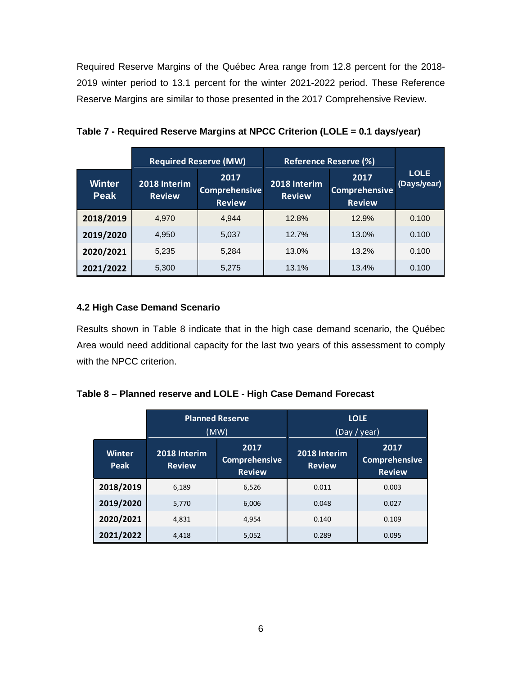Required Reserve Margins of the Québec Area range from 12.8 percent for the 2018- 2019 winter period to 13.1 percent for the winter 2021-2022 period. These Reference Reserve Margins are similar to those presented in the 2017 Comprehensive Review.

|                              | <b>Required Reserve (MW)</b>  |                                        | <b>Reference Reserve (%)</b>  |                                        |                            |
|------------------------------|-------------------------------|----------------------------------------|-------------------------------|----------------------------------------|----------------------------|
| <b>Winter</b><br><b>Peak</b> | 2018 Interim<br><b>Review</b> | 2017<br>Comprehensive<br><b>Review</b> | 2018 Interim<br><b>Review</b> | 2017<br>Comprehensive<br><b>Review</b> | <b>LOLE</b><br>(Days/year) |
| 2018/2019                    | 4,970                         | 4.944                                  | 12.8%                         | 12.9%                                  | 0.100                      |
| 2019/2020                    | 4,950                         | 5,037                                  | 12.7%                         | 13.0%                                  | 0.100                      |
| 2020/2021                    | 5,235                         | 5,284                                  | 13.0%                         | 13.2%                                  | 0.100                      |
| 2021/2022                    | 5,300                         | 5,275                                  | 13.1%                         | 13.4%                                  | 0.100                      |

**Table 7 - Required Reserve Margins at NPCC Criterion (LOLE = 0.1 days/year)** 

# **4.2 High Case Demand Scenario**

Results shown in Table 8 indicate that in the high case demand scenario, the Québec Area would need additional capacity for the last two years of this assessment to comply with the NPCC criterion.

# **Table 8 – Planned reserve and LOLE - High Case Demand Forecast**

|                              | <b>Planned Reserve</b><br>(MW)                                                 |       | <b>LOLE</b><br>(Day / year)   |                                               |
|------------------------------|--------------------------------------------------------------------------------|-------|-------------------------------|-----------------------------------------------|
| <b>Winter</b><br><b>Peak</b> | 2017<br>2018 Interim<br><b>Comprehensive</b><br><b>Review</b><br><b>Review</b> |       | 2018 Interim<br><b>Review</b> | 2017<br><b>Comprehensive</b><br><b>Review</b> |
| 2018/2019                    | 6,189                                                                          | 6,526 | 0.011                         | 0.003                                         |
| 2019/2020                    | 5,770                                                                          | 6,006 | 0.048                         | 0.027                                         |
| 2020/2021                    | 4,831                                                                          | 4,954 | 0.140                         | 0.109                                         |
| 2021/2022                    | 4,418                                                                          | 5,052 | 0.289                         | 0.095                                         |